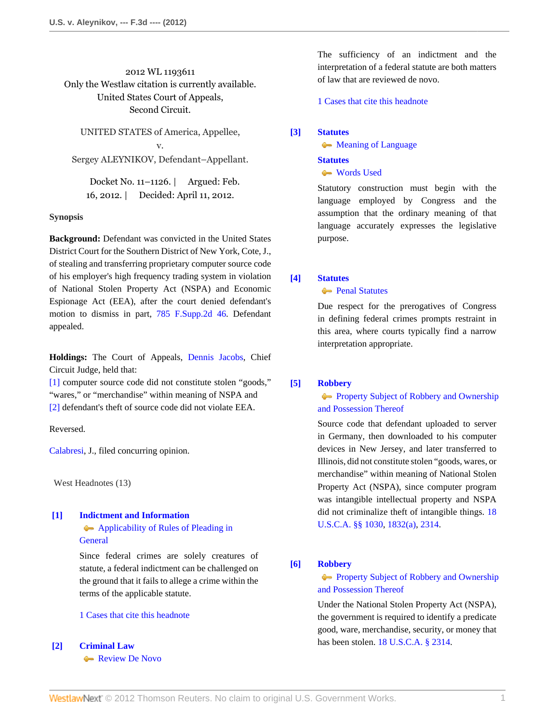2012 WL 1193611 Only the Westlaw citation is currently available. United States Court of Appeals, Second Circuit.

UNITED STATES of America, Appellee, v. Sergey ALEYNIKOV, Defendant–Appellant.

Docket No. 11–1126. | Argued: Feb. 16, 2012. | Decided: April 11, 2012.

### **Synopsis**

**Background:** Defendant was convicted in the United States District Court for the Southern District of New York, Cote, J., of stealing and transferring proprietary computer source code of his employer's high frequency trading system in violation of National Stolen Property Act (NSPA) and Economic Espionage Act (EEA), after the court denied defendant's motion to dismiss in part, [785 F.Supp.2d 46.](http://www.westlaw.com/Link/Document/FullText?findType=Y&serNum=2024819668&pubNum=4637&originationContext=document&vr=3.0&rs=cblt1.0&transitionType=DocumentItem&contextData=(sc.History*oc.Search)) Defendant appealed.

**Holdings:** The Court of Appeals, [Dennis Jacobs,](http://www.westlaw.com/Link/Document/FullText?findType=h&pubNum=176284&cite=0179982801&originatingDoc=I7506d11283f611e18b1ac573b20fcfb7&refType=RQ&originationContext=document&vr=3.0&rs=cblt1.0&transitionType=DocumentItem&contextData=(sc.History*oc.Search)) Chief Circuit Judge, held that:

[\[1\]](#page-0-0) computer source code did not constitute stolen "goods," "wares," or "merchandise" within meaning of NSPA and [\[2\]](#page-1-0) defendant's theft of source code did not violate EEA.

Reversed.

[Calabresi,](http://www.westlaw.com/Link/Document/FullText?findType=h&pubNum=176284&cite=0205251101&originatingDoc=I7506d11283f611e18b1ac573b20fcfb7&refType=RQ&originationContext=document&vr=3.0&rs=cblt1.0&transitionType=DocumentItem&contextData=(sc.History*oc.Search)) J., filed concurring opinion.

West Headnotes (13)

#### <span id="page-0-1"></span>**[\[1\]](#page-3-0) [Indictment and Information](http://www.westlaw.com/Browse/Home/KeyNumber/210/View.html?docGuid=I7506d11283f611e18b1ac573b20fcfb7&originationContext=document&vr=3.0&rs=cblt1.0&transitionType=DocumentItem&contextData=(sc.History*oc.Search))**

[Applicability of Rules of Pleading in](http://www.westlaw.com/Browse/Home/KeyNumber/210k55/View.html?docGuid=I7506d11283f611e18b1ac573b20fcfb7&originationContext=document&vr=3.0&rs=cblt1.0&transitionType=DocumentItem&contextData=(sc.History*oc.Search)) **[General](http://www.westlaw.com/Browse/Home/KeyNumber/210k55/View.html?docGuid=I7506d11283f611e18b1ac573b20fcfb7&originationContext=document&vr=3.0&rs=cblt1.0&transitionType=DocumentItem&contextData=(sc.History*oc.Search))** 

Since federal crimes are solely creatures of statute, a federal indictment can be challenged on the ground that it fails to allege a crime within the terms of the applicable statute.

# [1 Cases that cite this headnote](http://www.westlaw.com/Link/RelatedInformation/DocHeadnoteLink?docGuid=I7506d11283f611e18b1ac573b20fcfb7&headnoteId=202748225500120120413&originationContext=document&vr=3.0&rs=cblt1.0&transitionType=CitingReferences&contextData=(sc.History*oc.Search))

<span id="page-0-2"></span>**[\[2\]](#page-3-1) [Criminal Law](http://www.westlaw.com/Browse/Home/KeyNumber/110/View.html?docGuid=I7506d11283f611e18b1ac573b20fcfb7&originationContext=document&vr=3.0&rs=cblt1.0&transitionType=DocumentItem&contextData=(sc.History*oc.Search))**

[Review De Novo](http://www.westlaw.com/Browse/Home/KeyNumber/110XXIV(L)13/View.html?docGuid=I7506d11283f611e18b1ac573b20fcfb7&originationContext=document&vr=3.0&rs=cblt1.0&transitionType=DocumentItem&contextData=(sc.History*oc.Search))

The sufficiency of an indictment and the interpretation of a federal statute are both matters of law that are reviewed de novo.

[1 Cases that cite this headnote](http://www.westlaw.com/Link/RelatedInformation/DocHeadnoteLink?docGuid=I7506d11283f611e18b1ac573b20fcfb7&headnoteId=202748225500220120413&originationContext=document&vr=3.0&rs=cblt1.0&transitionType=CitingReferences&contextData=(sc.History*oc.Search))

<span id="page-0-3"></span>**[\[3\]](#page-3-2) [Statutes](http://www.westlaw.com/Browse/Home/KeyNumber/361/View.html?docGuid=I7506d11283f611e18b1ac573b20fcfb7&originationContext=document&vr=3.0&rs=cblt1.0&transitionType=DocumentItem&contextData=(sc.History*oc.Search))**

**[Meaning of Language](http://www.westlaw.com/Browse/Home/KeyNumber/361k187/View.html?docGuid=I7506d11283f611e18b1ac573b20fcfb7&originationContext=document&vr=3.0&rs=cblt1.0&transitionType=DocumentItem&contextData=(sc.History*oc.Search))** 

# **[Statutes](http://www.westlaw.com/Browse/Home/KeyNumber/361/View.html?docGuid=I7506d11283f611e18b1ac573b20fcfb7&originationContext=document&vr=3.0&rs=cblt1.0&transitionType=DocumentItem&contextData=(sc.History*oc.Search))**

### **[Words Used](http://www.westlaw.com/Browse/Home/KeyNumber/361k212.6/View.html?docGuid=I7506d11283f611e18b1ac573b20fcfb7&originationContext=document&vr=3.0&rs=cblt1.0&transitionType=DocumentItem&contextData=(sc.History*oc.Search))**

Statutory construction must begin with the language employed by Congress and the assumption that the ordinary meaning of that language accurately expresses the legislative purpose.

#### <span id="page-0-4"></span>**[\[4\]](#page-3-3) [Statutes](http://www.westlaw.com/Browse/Home/KeyNumber/361/View.html?docGuid=I7506d11283f611e18b1ac573b20fcfb7&originationContext=document&vr=3.0&rs=cblt1.0&transitionType=DocumentItem&contextData=(sc.History*oc.Search))**

#### **[Penal Statutes](http://www.westlaw.com/Browse/Home/KeyNumber/361k241/View.html?docGuid=I7506d11283f611e18b1ac573b20fcfb7&originationContext=document&vr=3.0&rs=cblt1.0&transitionType=DocumentItem&contextData=(sc.History*oc.Search))**

Due respect for the prerogatives of Congress in defining federal crimes prompts restraint in this area, where courts typically find a narrow interpretation appropriate.

## <span id="page-0-0"></span>**[\[5\]](#page-4-0) [Robbery](http://www.westlaw.com/Browse/Home/KeyNumber/342/View.html?docGuid=I7506d11283f611e18b1ac573b20fcfb7&originationContext=document&vr=3.0&rs=cblt1.0&transitionType=DocumentItem&contextData=(sc.History*oc.Search))**

**[Property Subject of Robbery and Ownership](http://www.westlaw.com/Browse/Home/KeyNumber/342k4/View.html?docGuid=I7506d11283f611e18b1ac573b20fcfb7&originationContext=document&vr=3.0&rs=cblt1.0&transitionType=DocumentItem&contextData=(sc.History*oc.Search))** [and Possession Thereof](http://www.westlaw.com/Browse/Home/KeyNumber/342k4/View.html?docGuid=I7506d11283f611e18b1ac573b20fcfb7&originationContext=document&vr=3.0&rs=cblt1.0&transitionType=DocumentItem&contextData=(sc.History*oc.Search))

Source code that defendant uploaded to server in Germany, then downloaded to his computer devices in New Jersey, and later transferred to Illinois, did not constitute stolen "goods, wares, or merchandise" within meaning of National Stolen Property Act (NSPA), since computer program was intangible intellectual property and NSPA did not criminalize theft of intangible things. [18](http://www.westlaw.com/Link/Document/FullText?findType=L&pubNum=1000546&cite=18USCAS1030&originatingDoc=I7506d11283f611e18b1ac573b20fcfb7&refType=LQ&originationContext=document&vr=3.0&rs=cblt1.0&transitionType=DocumentItem&contextData=(sc.History*oc.Search)) [U.S.C.A. §§ 1030,](http://www.westlaw.com/Link/Document/FullText?findType=L&pubNum=1000546&cite=18USCAS1030&originatingDoc=I7506d11283f611e18b1ac573b20fcfb7&refType=LQ&originationContext=document&vr=3.0&rs=cblt1.0&transitionType=DocumentItem&contextData=(sc.History*oc.Search)) [1832\(a\),](http://www.westlaw.com/Link/Document/FullText?findType=L&pubNum=1000546&cite=18USCAS1832&originationContext=document&vr=3.0&rs=cblt1.0&transitionType=DocumentItem&contextData=(sc.History*oc.Search)#co_pp_8b3b0000958a4) [2314.](http://www.westlaw.com/Link/Document/FullText?findType=L&pubNum=1000546&cite=18USCAS2314&originatingDoc=I7506d11283f611e18b1ac573b20fcfb7&refType=LQ&originationContext=document&vr=3.0&rs=cblt1.0&transitionType=DocumentItem&contextData=(sc.History*oc.Search))

# <span id="page-0-5"></span>**[\[6\]](#page-5-0) [Robbery](http://www.westlaw.com/Browse/Home/KeyNumber/342/View.html?docGuid=I7506d11283f611e18b1ac573b20fcfb7&originationContext=document&vr=3.0&rs=cblt1.0&transitionType=DocumentItem&contextData=(sc.History*oc.Search))**

**[Property Subject of Robbery and Ownership](http://www.westlaw.com/Browse/Home/KeyNumber/342k4/View.html?docGuid=I7506d11283f611e18b1ac573b20fcfb7&originationContext=document&vr=3.0&rs=cblt1.0&transitionType=DocumentItem&contextData=(sc.History*oc.Search))** [and Possession Thereof](http://www.westlaw.com/Browse/Home/KeyNumber/342k4/View.html?docGuid=I7506d11283f611e18b1ac573b20fcfb7&originationContext=document&vr=3.0&rs=cblt1.0&transitionType=DocumentItem&contextData=(sc.History*oc.Search))

Under the National Stolen Property Act (NSPA), the government is required to identify a predicate good, ware, merchandise, security, or money that has been stolen. [18 U.S.C.A. § 2314](http://www.westlaw.com/Link/Document/FullText?findType=L&pubNum=1000546&cite=18USCAS2314&originatingDoc=I7506d11283f611e18b1ac573b20fcfb7&refType=LQ&originationContext=document&vr=3.0&rs=cblt1.0&transitionType=DocumentItem&contextData=(sc.History*oc.Search)).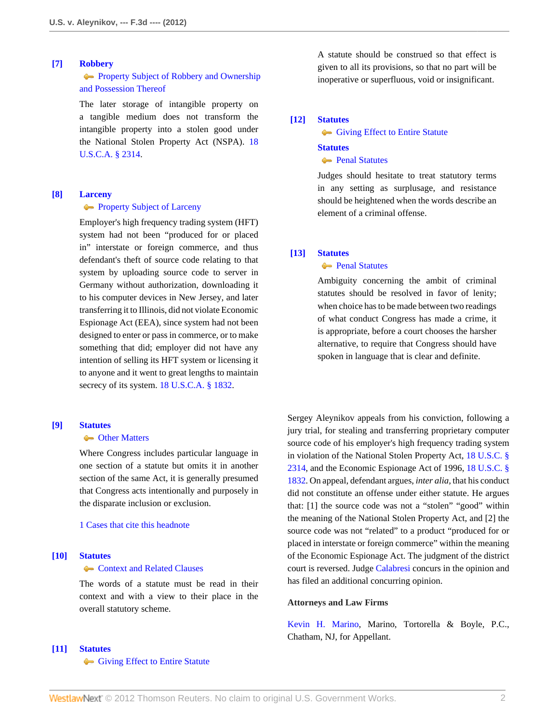# <span id="page-1-1"></span>**[\[7\]](#page-5-1) [Robbery](http://www.westlaw.com/Browse/Home/KeyNumber/342/View.html?docGuid=I7506d11283f611e18b1ac573b20fcfb7&originationContext=document&vr=3.0&rs=cblt1.0&transitionType=DocumentItem&contextData=(sc.History*oc.Search))**

**[Property Subject of Robbery and Ownership](http://www.westlaw.com/Browse/Home/KeyNumber/342k4/View.html?docGuid=I7506d11283f611e18b1ac573b20fcfb7&originationContext=document&vr=3.0&rs=cblt1.0&transitionType=DocumentItem&contextData=(sc.History*oc.Search))** [and Possession Thereof](http://www.westlaw.com/Browse/Home/KeyNumber/342k4/View.html?docGuid=I7506d11283f611e18b1ac573b20fcfb7&originationContext=document&vr=3.0&rs=cblt1.0&transitionType=DocumentItem&contextData=(sc.History*oc.Search))

The later storage of intangible property on a tangible medium does not transform the intangible property into a stolen good under the National Stolen Property Act (NSPA). [18](http://www.westlaw.com/Link/Document/FullText?findType=L&pubNum=1000546&cite=18USCAS2314&originatingDoc=I7506d11283f611e18b1ac573b20fcfb7&refType=LQ&originationContext=document&vr=3.0&rs=cblt1.0&transitionType=DocumentItem&contextData=(sc.History*oc.Search)) [U.S.C.A. § 2314.](http://www.westlaw.com/Link/Document/FullText?findType=L&pubNum=1000546&cite=18USCAS2314&originatingDoc=I7506d11283f611e18b1ac573b20fcfb7&refType=LQ&originationContext=document&vr=3.0&rs=cblt1.0&transitionType=DocumentItem&contextData=(sc.History*oc.Search))

## <span id="page-1-0"></span>**[\[8\]](#page-6-0) [Larceny](http://www.westlaw.com/Browse/Home/KeyNumber/234/View.html?docGuid=I7506d11283f611e18b1ac573b20fcfb7&originationContext=document&vr=3.0&rs=cblt1.0&transitionType=DocumentItem&contextData=(sc.History*oc.Search))**

#### **[Property Subject of Larceny](http://www.westlaw.com/Browse/Home/KeyNumber/234k4/View.html?docGuid=I7506d11283f611e18b1ac573b20fcfb7&originationContext=document&vr=3.0&rs=cblt1.0&transitionType=DocumentItem&contextData=(sc.History*oc.Search))**

Employer's high frequency trading system (HFT) system had not been "produced for or placed in" interstate or foreign commerce, and thus defendant's theft of source code relating to that system by uploading source code to server in Germany without authorization, downloading it to his computer devices in New Jersey, and later transferring it to Illinois, did not violate Economic Espionage Act (EEA), since system had not been designed to enter or pass in commerce, or to make something that did; employer did not have any intention of selling its HFT system or licensing it to anyone and it went to great lengths to maintain secrecy of its system. [18 U.S.C.A. § 1832](http://www.westlaw.com/Link/Document/FullText?findType=L&pubNum=1000546&cite=18USCAS1832&originatingDoc=I7506d11283f611e18b1ac573b20fcfb7&refType=LQ&originationContext=document&vr=3.0&rs=cblt1.0&transitionType=DocumentItem&contextData=(sc.History*oc.Search)).

#### <span id="page-1-2"></span>**[\[9\]](#page-6-1) [Statutes](http://www.westlaw.com/Browse/Home/KeyNumber/361/View.html?docGuid=I7506d11283f611e18b1ac573b20fcfb7&originationContext=document&vr=3.0&rs=cblt1.0&transitionType=DocumentItem&contextData=(sc.History*oc.Search))**

#### **Combined Combine** [Other Matters](http://www.westlaw.com/Browse/Home/KeyNumber/361k212.7/View.html?docGuid=I7506d11283f611e18b1ac573b20fcfb7&originationContext=document&vr=3.0&rs=cblt1.0&transitionType=DocumentItem&contextData=(sc.History*oc.Search))

Where Congress includes particular language in one section of a statute but omits it in another section of the same Act, it is generally presumed that Congress acts intentionally and purposely in the disparate inclusion or exclusion.

# [1 Cases that cite this headnote](http://www.westlaw.com/Link/RelatedInformation/DocHeadnoteLink?docGuid=I7506d11283f611e18b1ac573b20fcfb7&headnoteId=202748225500920120413&originationContext=document&vr=3.0&rs=cblt1.0&transitionType=CitingReferences&contextData=(sc.History*oc.Search))

# <span id="page-1-3"></span>**[\[10\]](#page-6-2) [Statutes](http://www.westlaw.com/Browse/Home/KeyNumber/361/View.html?docGuid=I7506d11283f611e18b1ac573b20fcfb7&originationContext=document&vr=3.0&rs=cblt1.0&transitionType=DocumentItem&contextData=(sc.History*oc.Search))**

#### **[Context and Related Clauses](http://www.westlaw.com/Browse/Home/KeyNumber/361k208/View.html?docGuid=I7506d11283f611e18b1ac573b20fcfb7&originationContext=document&vr=3.0&rs=cblt1.0&transitionType=DocumentItem&contextData=(sc.History*oc.Search))**

The words of a statute must be read in their context and with a view to their place in the overall statutory scheme.

#### <span id="page-1-4"></span>**[\[11\]](#page-6-3) [Statutes](http://www.westlaw.com/Browse/Home/KeyNumber/361/View.html?docGuid=I7506d11283f611e18b1ac573b20fcfb7&originationContext=document&vr=3.0&rs=cblt1.0&transitionType=DocumentItem&contextData=(sc.History*oc.Search))**

[Giving Effect to Entire Statute](http://www.westlaw.com/Browse/Home/KeyNumber/361k206/View.html?docGuid=I7506d11283f611e18b1ac573b20fcfb7&originationContext=document&vr=3.0&rs=cblt1.0&transitionType=DocumentItem&contextData=(sc.History*oc.Search))

A statute should be construed so that effect is given to all its provisions, so that no part will be inoperative or superfluous, void or insignificant.

#### <span id="page-1-5"></span>**[\[12\]](#page-6-4) [Statutes](http://www.westlaw.com/Browse/Home/KeyNumber/361/View.html?docGuid=I7506d11283f611e18b1ac573b20fcfb7&originationContext=document&vr=3.0&rs=cblt1.0&transitionType=DocumentItem&contextData=(sc.History*oc.Search))**

[Giving Effect to Entire Statute](http://www.westlaw.com/Browse/Home/KeyNumber/361k206/View.html?docGuid=I7506d11283f611e18b1ac573b20fcfb7&originationContext=document&vr=3.0&rs=cblt1.0&transitionType=DocumentItem&contextData=(sc.History*oc.Search))

# **[Statutes](http://www.westlaw.com/Browse/Home/KeyNumber/361/View.html?docGuid=I7506d11283f611e18b1ac573b20fcfb7&originationContext=document&vr=3.0&rs=cblt1.0&transitionType=DocumentItem&contextData=(sc.History*oc.Search)) [Penal Statutes](http://www.westlaw.com/Browse/Home/KeyNumber/361k241/View.html?docGuid=I7506d11283f611e18b1ac573b20fcfb7&originationContext=document&vr=3.0&rs=cblt1.0&transitionType=DocumentItem&contextData=(sc.History*oc.Search))**

Judges should hesitate to treat statutory terms in any setting as surplusage, and resistance should be heightened when the words describe an element of a criminal offense.

#### <span id="page-1-6"></span>**[\[13\]](#page-7-0) [Statutes](http://www.westlaw.com/Browse/Home/KeyNumber/361/View.html?docGuid=I7506d11283f611e18b1ac573b20fcfb7&originationContext=document&vr=3.0&rs=cblt1.0&transitionType=DocumentItem&contextData=(sc.History*oc.Search))**

#### **[Penal Statutes](http://www.westlaw.com/Browse/Home/KeyNumber/361k241/View.html?docGuid=I7506d11283f611e18b1ac573b20fcfb7&originationContext=document&vr=3.0&rs=cblt1.0&transitionType=DocumentItem&contextData=(sc.History*oc.Search))**

Ambiguity concerning the ambit of criminal statutes should be resolved in favor of lenity; when choice has to be made between two readings of what conduct Congress has made a crime, it is appropriate, before a court chooses the harsher alternative, to require that Congress should have spoken in language that is clear and definite.

Sergey Aleynikov appeals from his conviction, following a jury trial, for stealing and transferring proprietary computer source code of his employer's high frequency trading system in violation of the National Stolen Property Act, [18 U.S.C. §](http://www.westlaw.com/Link/Document/FullText?findType=L&pubNum=1000546&cite=18USCAS2314&originatingDoc=I7506d11283f611e18b1ac573b20fcfb7&refType=LQ&originationContext=document&vr=3.0&rs=cblt1.0&transitionType=DocumentItem&contextData=(sc.History*oc.Search)) [2314](http://www.westlaw.com/Link/Document/FullText?findType=L&pubNum=1000546&cite=18USCAS2314&originatingDoc=I7506d11283f611e18b1ac573b20fcfb7&refType=LQ&originationContext=document&vr=3.0&rs=cblt1.0&transitionType=DocumentItem&contextData=(sc.History*oc.Search)), and the Economic Espionage Act of 1996, [18 U.S.C. §](http://www.westlaw.com/Link/Document/FullText?findType=L&pubNum=1000546&cite=18USCAS1832&originatingDoc=I7506d11283f611e18b1ac573b20fcfb7&refType=LQ&originationContext=document&vr=3.0&rs=cblt1.0&transitionType=DocumentItem&contextData=(sc.History*oc.Search)) [1832](http://www.westlaw.com/Link/Document/FullText?findType=L&pubNum=1000546&cite=18USCAS1832&originatingDoc=I7506d11283f611e18b1ac573b20fcfb7&refType=LQ&originationContext=document&vr=3.0&rs=cblt1.0&transitionType=DocumentItem&contextData=(sc.History*oc.Search)). On appeal, defendant argues, *inter alia,* that his conduct did not constitute an offense under either statute. He argues that: [1] the source code was not a "stolen" "good" within the meaning of the National Stolen Property Act, and [2] the source code was not "related" to a product "produced for or placed in interstate or foreign commerce" within the meaning of the Economic Espionage Act. The judgment of the district court is reversed. Judge [Calabresi](http://www.westlaw.com/Link/Document/FullText?findType=h&pubNum=176284&cite=0205251101&originatingDoc=I7506d11283f611e18b1ac573b20fcfb7&refType=RQ&originationContext=document&vr=3.0&rs=cblt1.0&transitionType=DocumentItem&contextData=(sc.History*oc.Search)) concurs in the opinion and has filed an additional concurring opinion.

### **Attorneys and Law Firms**

[Kevin H. Marino](http://www.westlaw.com/Link/Document/FullText?findType=h&pubNum=176284&cite=0290829701&originatingDoc=I7506d11283f611e18b1ac573b20fcfb7&refType=RQ&originationContext=document&vr=3.0&rs=cblt1.0&transitionType=DocumentItem&contextData=(sc.History*oc.Search)), Marino, Tortorella & Boyle, P.C., Chatham, NJ, for Appellant.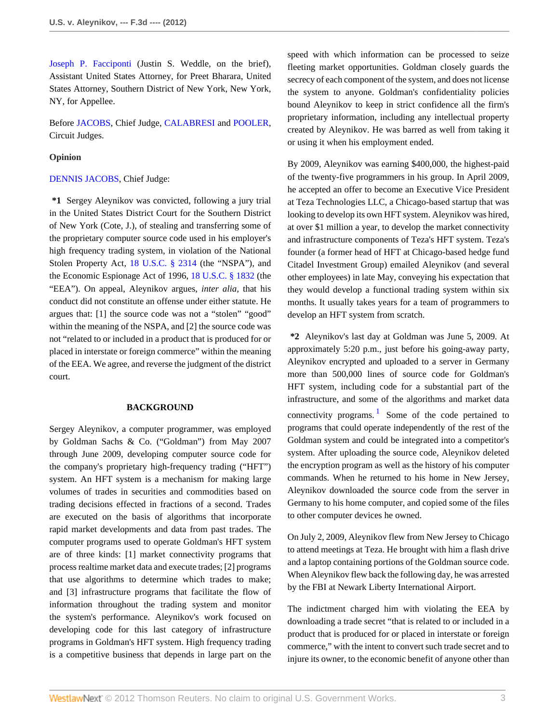[Joseph P. Facciponti](http://www.westlaw.com/Link/Document/FullText?findType=h&pubNum=176284&cite=0327493601&originatingDoc=I7506d11283f611e18b1ac573b20fcfb7&refType=RQ&originationContext=document&vr=3.0&rs=cblt1.0&transitionType=DocumentItem&contextData=(sc.History*oc.Search)) (Justin S. Weddle, on the brief), Assistant United States Attorney, for Preet Bharara, United States Attorney, Southern District of New York, New York, NY, for Appellee.

Before [JACOBS](http://www.westlaw.com/Link/Document/FullText?findType=h&pubNum=176284&cite=0179982801&originatingDoc=I7506d11283f611e18b1ac573b20fcfb7&refType=RQ&originationContext=document&vr=3.0&rs=cblt1.0&transitionType=DocumentItem&contextData=(sc.History*oc.Search)), Chief Judge, [CALABRESI](http://www.westlaw.com/Link/Document/FullText?findType=h&pubNum=176284&cite=0205251101&originatingDoc=I7506d11283f611e18b1ac573b20fcfb7&refType=RQ&originationContext=document&vr=3.0&rs=cblt1.0&transitionType=DocumentItem&contextData=(sc.History*oc.Search)) and [POOLER](http://www.westlaw.com/Link/Document/FullText?findType=h&pubNum=176284&cite=0212690601&originatingDoc=I7506d11283f611e18b1ac573b20fcfb7&refType=RQ&originationContext=document&vr=3.0&rs=cblt1.0&transitionType=DocumentItem&contextData=(sc.History*oc.Search)), Circuit Judges.

### **Opinion**

## [DENNIS JACOBS](http://www.westlaw.com/Link/Document/FullText?findType=h&pubNum=176284&cite=0179982801&originatingDoc=I7506d11283f611e18b1ac573b20fcfb7&refType=RQ&originationContext=document&vr=3.0&rs=cblt1.0&transitionType=DocumentItem&contextData=(sc.History*oc.Search)), Chief Judge:

**\*1** Sergey Aleynikov was convicted, following a jury trial in the United States District Court for the Southern District of New York (Cote, J.), of stealing and transferring some of the proprietary computer source code used in his employer's high frequency trading system, in violation of the National Stolen Property Act, [18 U.S.C. § 2314](http://www.westlaw.com/Link/Document/FullText?findType=L&pubNum=1000546&cite=18USCAS2314&originatingDoc=I7506d11283f611e18b1ac573b20fcfb7&refType=LQ&originationContext=document&vr=3.0&rs=cblt1.0&transitionType=DocumentItem&contextData=(sc.History*oc.Search)) (the "NSPA"), and the Economic Espionage Act of 1996, [18 U.S.C. § 1832](http://www.westlaw.com/Link/Document/FullText?findType=L&pubNum=1000546&cite=18USCAS1832&originatingDoc=I7506d11283f611e18b1ac573b20fcfb7&refType=LQ&originationContext=document&vr=3.0&rs=cblt1.0&transitionType=DocumentItem&contextData=(sc.History*oc.Search)) (the "EEA"). On appeal, Aleynikov argues, *inter alia,* that his conduct did not constitute an offense under either statute. He argues that: [1] the source code was not a "stolen" "good" within the meaning of the NSPA, and [2] the source code was not "related to or included in a product that is produced for or placed in interstate or foreign commerce" within the meaning of the EEA. We agree, and reverse the judgment of the district court.

# **BACKGROUND**

Sergey Aleynikov, a computer programmer, was employed by Goldman Sachs & Co. ("Goldman") from May 2007 through June 2009, developing computer source code for the company's proprietary high-frequency trading ("HFT") system. An HFT system is a mechanism for making large volumes of trades in securities and commodities based on trading decisions effected in fractions of a second. Trades are executed on the basis of algorithms that incorporate rapid market developments and data from past trades. The computer programs used to operate Goldman's HFT system are of three kinds: [1] market connectivity programs that process realtime market data and execute trades; [2] programs that use algorithms to determine which trades to make; and [3] infrastructure programs that facilitate the flow of information throughout the trading system and monitor the system's performance. Aleynikov's work focused on developing code for this last category of infrastructure programs in Goldman's HFT system. High frequency trading is a competitive business that depends in large part on the

speed with which information can be processed to seize fleeting market opportunities. Goldman closely guards the secrecy of each component of the system, and does not license the system to anyone. Goldman's confidentiality policies bound Aleynikov to keep in strict confidence all the firm's proprietary information, including any intellectual property created by Aleynikov. He was barred as well from taking it or using it when his employment ended.

By 2009, Aleynikov was earning \$400,000, the highest-paid of the twenty-five programmers in his group. In April 2009, he accepted an offer to become an Executive Vice President at Teza Technologies LLC, a Chicago-based startup that was looking to develop its own HFT system. Aleynikov was hired, at over \$1 million a year, to develop the market connectivity and infrastructure components of Teza's HFT system. Teza's founder (a former head of HFT at Chicago-based hedge fund Citadel Investment Group) emailed Aleynikov (and several other employees) in late May, conveying his expectation that they would develop a functional trading system within six months. It usually takes years for a team of programmers to develop an HFT system from scratch.

<span id="page-2-0"></span>**\*2** Aleynikov's last day at Goldman was June 5, 2009. At approximately 5:20 p.m., just before his going-away party, Aleynikov encrypted and uploaded to a server in Germany more than 500,000 lines of source code for Goldman's HFT system, including code for a substantial part of the infrastructure, and some of the algorithms and market data connectivity programs.<sup>[1](#page-8-0)</sup> Some of the code pertained to programs that could operate independently of the rest of the Goldman system and could be integrated into a competitor's system. After uploading the source code, Aleynikov deleted the encryption program as well as the history of his computer commands. When he returned to his home in New Jersey, Aleynikov downloaded the source code from the server in Germany to his home computer, and copied some of the files to other computer devices he owned.

On July 2, 2009, Aleynikov flew from New Jersey to Chicago to attend meetings at Teza. He brought with him a flash drive and a laptop containing portions of the Goldman source code. When Aleynikov flew back the following day, he was arrested by the FBI at Newark Liberty International Airport.

The indictment charged him with violating the EEA by downloading a trade secret "that is related to or included in a product that is produced for or placed in interstate or foreign commerce," with the intent to convert such trade secret and to injure its owner, to the economic benefit of anyone other than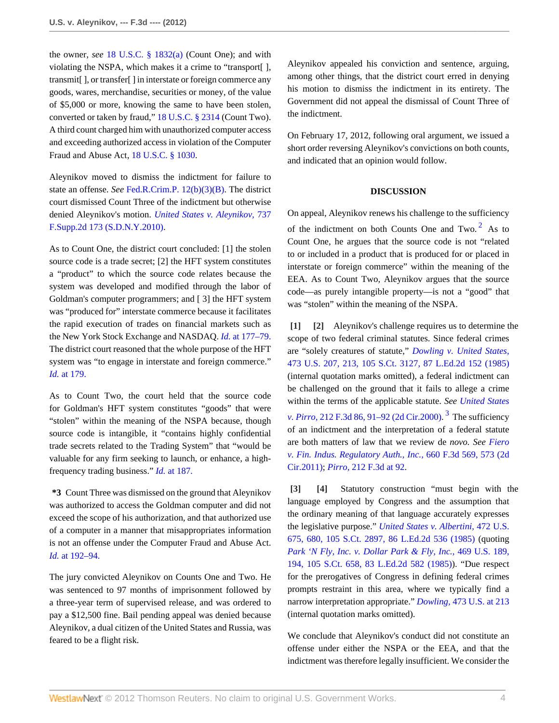the owner, *see* [18 U.S.C. § 1832\(a\)](http://www.westlaw.com/Link/Document/FullText?findType=L&pubNum=1000546&cite=18USCAS1832&originationContext=document&vr=3.0&rs=cblt1.0&transitionType=DocumentItem&contextData=(sc.History*oc.Search)#co_pp_8b3b0000958a4) (Count One); and with violating the NSPA, which makes it a crime to "transport[ ], transmit[ ], or transfer[ ] in interstate or foreign commerce any goods, wares, merchandise, securities or money, of the value of \$5,000 or more, knowing the same to have been stolen, converted or taken by fraud," [18 U.S.C. § 2314](http://www.westlaw.com/Link/Document/FullText?findType=L&pubNum=1000546&cite=18USCAS2314&originatingDoc=I7506d11283f611e18b1ac573b20fcfb7&refType=LQ&originationContext=document&vr=3.0&rs=cblt1.0&transitionType=DocumentItem&contextData=(sc.History*oc.Search)) (Count Two). A third count charged him with unauthorized computer access and exceeding authorized access in violation of the Computer Fraud and Abuse Act, [18 U.S.C. § 1030.](http://www.westlaw.com/Link/Document/FullText?findType=L&pubNum=1000546&cite=18USCAS1030&originatingDoc=I7506d11283f611e18b1ac573b20fcfb7&refType=LQ&originationContext=document&vr=3.0&rs=cblt1.0&transitionType=DocumentItem&contextData=(sc.History*oc.Search))

Aleynikov moved to dismiss the indictment for failure to state an offense. *See* [Fed.R.Crim.P. 12\(b\)\(3\)\(B\).](http://www.westlaw.com/Link/Document/FullText?findType=L&pubNum=1004365&cite=USFRCRPR12&originatingDoc=I7506d11283f611e18b1ac573b20fcfb7&refType=LQ&originationContext=document&vr=3.0&rs=cblt1.0&transitionType=DocumentItem&contextData=(sc.History*oc.Search)) The district court dismissed Count Three of the indictment but otherwise denied Aleynikov's motion. *[United States v. Aleynikov,](http://www.westlaw.com/Link/Document/FullText?findType=Y&serNum=2022943617&pubNum=4637&originationContext=document&vr=3.0&rs=cblt1.0&transitionType=DocumentItem&contextData=(sc.History*oc.Search))* 737 [F.Supp.2d 173 \(S.D.N.Y.2010\)](http://www.westlaw.com/Link/Document/FullText?findType=Y&serNum=2022943617&pubNum=4637&originationContext=document&vr=3.0&rs=cblt1.0&transitionType=DocumentItem&contextData=(sc.History*oc.Search)).

As to Count One, the district court concluded: [1] the stolen source code is a trade secret; [2] the HFT system constitutes a "product" to which the source code relates because the system was developed and modified through the labor of Goldman's computer programmers; and [ 3] the HFT system was "produced for" interstate commerce because it facilitates the rapid execution of trades on financial markets such as the New York Stock Exchange and NASDAQ. *Id.* [at 177–79.](http://www.westlaw.com/Link/Document/FullText?findType=Y&serNum=2022943617&originationContext=document&vr=3.0&rs=cblt1.0&transitionType=DocumentItem&contextData=(sc.History*oc.Search)) The district court reasoned that the whole purpose of the HFT system was "to engage in interstate and foreign commerce." *Id.* [at 179.](http://www.westlaw.com/Link/Document/FullText?findType=Y&serNum=2022943617&originationContext=document&vr=3.0&rs=cblt1.0&transitionType=DocumentItem&contextData=(sc.History*oc.Search))

As to Count Two, the court held that the source code for Goldman's HFT system constitutes "goods" that were "stolen" within the meaning of the NSPA because, though source code is intangible, it "contains highly confidential trade secrets related to the Trading System" that "would be valuable for any firm seeking to launch, or enhance, a highfrequency trading business." *Id.* [at 187.](http://www.westlaw.com/Link/Document/FullText?findType=Y&serNum=2022943617&originationContext=document&vr=3.0&rs=cblt1.0&transitionType=DocumentItem&contextData=(sc.History*oc.Search))

**\*3** Count Three was dismissed on the ground that Aleynikov was authorized to access the Goldman computer and did not exceed the scope of his authorization, and that authorized use of a computer in a manner that misappropriates information is not an offense under the Computer Fraud and Abuse Act. *Id.* [at 192–94.](http://www.westlaw.com/Link/Document/FullText?findType=Y&serNum=2022943617&originationContext=document&vr=3.0&rs=cblt1.0&transitionType=DocumentItem&contextData=(sc.History*oc.Search))

The jury convicted Aleynikov on Counts One and Two. He was sentenced to 97 months of imprisonment followed by a three-year term of supervised release, and was ordered to pay a \$12,500 fine. Bail pending appeal was denied because Aleynikov, a dual citizen of the United States and Russia, was feared to be a flight risk.

Aleynikov appealed his conviction and sentence, arguing, among other things, that the district court erred in denying his motion to dismiss the indictment in its entirety. The Government did not appeal the dismissal of Count Three of the indictment.

On February 17, 2012, following oral argument, we issued a short order reversing Aleynikov's convictions on both counts, and indicated that an opinion would follow.

# <span id="page-3-4"></span>**DISCUSSION**

On appeal, Aleynikov renews his challenge to the sufficiency of the indictment on both Counts One and Two. $2^2$  $2^2$  As to Count One, he argues that the source code is not "related to or included in a product that is produced for or placed in interstate or foreign commerce" within the meaning of the EEA. As to Count Two, Aleynikov argues that the source code—as purely intangible property—is not a "good" that was "stolen" within the meaning of the NSPA.

<span id="page-3-1"></span><span id="page-3-0"></span>**[\[1\]](#page-0-1) [\[2\]](#page-0-2)** Aleynikov's challenge requires us to determine the scope of two federal criminal statutes. Since federal crimes are "solely creatures of statute," *[Dowling v. United States,](http://www.westlaw.com/Link/Document/FullText?findType=Y&serNum=1985133041&pubNum=708&originationContext=document&vr=3.0&rs=cblt1.0&transitionType=DocumentItem&contextData=(sc.History*oc.Search))* [473 U.S. 207, 213, 105 S.Ct. 3127, 87 L.Ed.2d 152 \(1985\)](http://www.westlaw.com/Link/Document/FullText?findType=Y&serNum=1985133041&pubNum=708&originationContext=document&vr=3.0&rs=cblt1.0&transitionType=DocumentItem&contextData=(sc.History*oc.Search)) (internal quotation marks omitted), a federal indictment can be challenged on the ground that it fails to allege a crime within the terms of the applicable statute. *See [United States](http://www.westlaw.com/Link/Document/FullText?findType=Y&serNum=2000301652&pubNum=506&originationContext=document&vr=3.0&rs=cblt1.0&transitionType=DocumentItem&contextData=(sc.History*oc.Search)#co_pp_sp_506_91) v. Pirro,* [212 F.3d 86, 91–92 \(2d Cir.2000\).](http://www.westlaw.com/Link/Document/FullText?findType=Y&serNum=2000301652&pubNum=506&originationContext=document&vr=3.0&rs=cblt1.0&transitionType=DocumentItem&contextData=(sc.History*oc.Search)#co_pp_sp_506_91) [3](#page-8-2) The sufficiency of an indictment and the interpretation of a federal statute are both matters of law that we review de *novo. See [Fiero](http://www.westlaw.com/Link/Document/FullText?findType=Y&serNum=2026278842&pubNum=506&originationContext=document&vr=3.0&rs=cblt1.0&transitionType=DocumentItem&contextData=(sc.History*oc.Search)#co_pp_sp_506_573) [v. Fin. Indus. Regulatory Auth., Inc.,](http://www.westlaw.com/Link/Document/FullText?findType=Y&serNum=2026278842&pubNum=506&originationContext=document&vr=3.0&rs=cblt1.0&transitionType=DocumentItem&contextData=(sc.History*oc.Search)#co_pp_sp_506_573)* 660 F.3d 569, 573 (2d [Cir.2011\);](http://www.westlaw.com/Link/Document/FullText?findType=Y&serNum=2026278842&pubNum=506&originationContext=document&vr=3.0&rs=cblt1.0&transitionType=DocumentItem&contextData=(sc.History*oc.Search)#co_pp_sp_506_573) *Pirro,* [212 F.3d at 92](http://www.westlaw.com/Link/Document/FullText?findType=Y&serNum=2000301652&pubNum=506&originationContext=document&vr=3.0&rs=cblt1.0&transitionType=DocumentItem&contextData=(sc.History*oc.Search)#co_pp_sp_506_92).

<span id="page-3-5"></span><span id="page-3-3"></span><span id="page-3-2"></span>**[\[3\]](#page-0-3) [\[4\]](#page-0-4)** Statutory construction "must begin with the language employed by Congress and the assumption that the ordinary meaning of that language accurately expresses the legislative purpose." *[United States v. Albertini,](http://www.westlaw.com/Link/Document/FullText?findType=Y&serNum=1985131878&pubNum=708&originationContext=document&vr=3.0&rs=cblt1.0&transitionType=DocumentItem&contextData=(sc.History*oc.Search))* 472 U.S. [675, 680, 105 S.Ct. 2897, 86 L.Ed.2d 536 \(1985\)](http://www.westlaw.com/Link/Document/FullText?findType=Y&serNum=1985131878&pubNum=708&originationContext=document&vr=3.0&rs=cblt1.0&transitionType=DocumentItem&contextData=(sc.History*oc.Search)) (quoting *[Park 'N Fly, Inc. v. Dollar Park & Fly, Inc.,](http://www.westlaw.com/Link/Document/FullText?findType=Y&serNum=1985101286&pubNum=708&originationContext=document&vr=3.0&rs=cblt1.0&transitionType=DocumentItem&contextData=(sc.History*oc.Search))* 469 U.S. 189, [194, 105 S.Ct. 658, 83 L.Ed.2d 582 \(1985\)](http://www.westlaw.com/Link/Document/FullText?findType=Y&serNum=1985101286&pubNum=708&originationContext=document&vr=3.0&rs=cblt1.0&transitionType=DocumentItem&contextData=(sc.History*oc.Search))). "Due respect for the prerogatives of Congress in defining federal crimes prompts restraint in this area, where we typically find a narrow interpretation appropriate." *Dowling,* [473 U.S. at 213](http://www.westlaw.com/Link/Document/FullText?findType=Y&serNum=1985133041&pubNum=780&originationContext=document&vr=3.0&rs=cblt1.0&transitionType=DocumentItem&contextData=(sc.History*oc.Search)#co_pp_sp_780_213) (internal quotation marks omitted).

We conclude that Aleynikov's conduct did not constitute an offense under either the NSPA or the EEA, and that the indictment was therefore legally insufficient. We consider the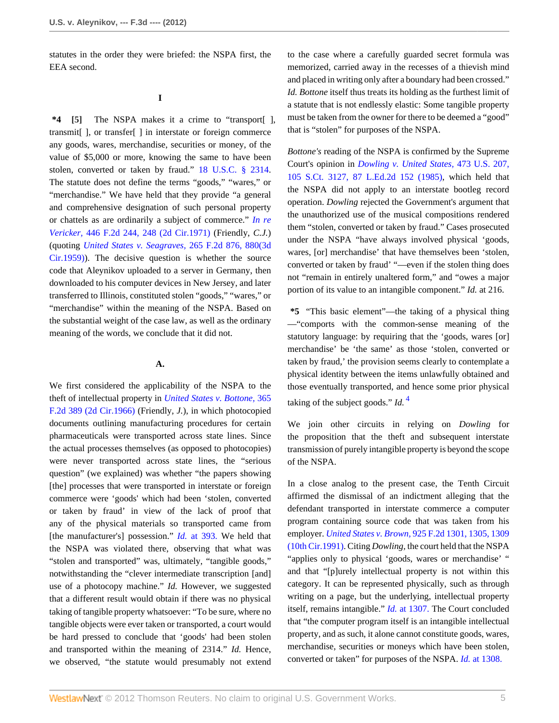statutes in the order they were briefed: the NSPA first, the EEA second.

# **I**

<span id="page-4-0"></span>**\*4 [\[5\]](#page-0-0)** The NSPA makes it a crime to "transport[ ], transmit[ ], or transfer[ ] in interstate or foreign commerce any goods, wares, merchandise, securities or money, of the value of \$5,000 or more, knowing the same to have been stolen, converted or taken by fraud." [18 U.S.C. § 2314](http://www.westlaw.com/Link/Document/FullText?findType=L&pubNum=1000546&cite=18USCAS2314&originatingDoc=I7506d11283f611e18b1ac573b20fcfb7&refType=LQ&originationContext=document&vr=3.0&rs=cblt1.0&transitionType=DocumentItem&contextData=(sc.History*oc.Search)). The statute does not define the terms "goods," "wares," or "merchandise." We have held that they provide "a general and comprehensive designation of such personal property or chattels as are ordinarily a subject of commerce." *[In re](http://www.westlaw.com/Link/Document/FullText?findType=Y&serNum=1971111602&pubNum=350&originationContext=document&vr=3.0&rs=cblt1.0&transitionType=DocumentItem&contextData=(sc.History*oc.Search)#co_pp_sp_350_248) Vericker,* [446 F.2d 244, 248 \(2d Cir.1971\)](http://www.westlaw.com/Link/Document/FullText?findType=Y&serNum=1971111602&pubNum=350&originationContext=document&vr=3.0&rs=cblt1.0&transitionType=DocumentItem&contextData=(sc.History*oc.Search)#co_pp_sp_350_248) (Friendly, *C.J.*) (quoting *[United States v. Seagraves,](http://www.westlaw.com/Link/Document/FullText?findType=Y&serNum=1959110221&pubNum=350&originationContext=document&vr=3.0&rs=cblt1.0&transitionType=DocumentItem&contextData=(sc.History*oc.Search)#co_pp_sp_350_880)* 265 F.2d 876, 880(3d [Cir.1959\)\)](http://www.westlaw.com/Link/Document/FullText?findType=Y&serNum=1959110221&pubNum=350&originationContext=document&vr=3.0&rs=cblt1.0&transitionType=DocumentItem&contextData=(sc.History*oc.Search)#co_pp_sp_350_880). The decisive question is whether the source code that Aleynikov uploaded to a server in Germany, then downloaded to his computer devices in New Jersey, and later transferred to Illinois, constituted stolen "goods," "wares," or "merchandise" within the meaning of the NSPA. Based on the substantial weight of the case law, as well as the ordinary meaning of the words, we conclude that it did not.

# **A.**

We first considered the applicability of the NSPA to the theft of intellectual property in *[United States v. Bottone,](http://www.westlaw.com/Link/Document/FullText?findType=Y&serNum=1966122251&pubNum=350&originationContext=document&vr=3.0&rs=cblt1.0&transitionType=DocumentItem&contextData=(sc.History*oc.Search))* 365 [F.2d 389 \(2d Cir.1966\)](http://www.westlaw.com/Link/Document/FullText?findType=Y&serNum=1966122251&pubNum=350&originationContext=document&vr=3.0&rs=cblt1.0&transitionType=DocumentItem&contextData=(sc.History*oc.Search)) (Friendly, *J.*), in which photocopied documents outlining manufacturing procedures for certain pharmaceuticals were transported across state lines. Since the actual processes themselves (as opposed to photocopies) were never transported across state lines, the "serious question" (we explained) was whether "the papers showing [the] processes that were transported in interstate or foreign commerce were 'goods' which had been 'stolen, converted or taken by fraud' in view of the lack of proof that any of the physical materials so transported came from [the manufacturer's] possession." *Id.* [at 393.](http://www.westlaw.com/Link/Document/FullText?findType=Y&serNum=1966122251&originationContext=document&vr=3.0&rs=cblt1.0&transitionType=DocumentItem&contextData=(sc.History*oc.Search)) We held that the NSPA was violated there, observing that what was "stolen and transported" was, ultimately, "tangible goods," notwithstanding the "clever intermediate transcription [and] use of a photocopy machine." *Id.* However, we suggested that a different result would obtain if there was no physical taking of tangible property whatsoever: "To be sure, where no tangible objects were ever taken or transported, a court would be hard pressed to conclude that 'goods' had been stolen and transported within the meaning of 2314." *Id.* Hence, we observed, "the statute would presumably not extend to the case where a carefully guarded secret formula was memorized, carried away in the recesses of a thievish mind and placed in writing only after a boundary had been crossed." *Id. Bottone* itself thus treats its holding as the furthest limit of a statute that is not endlessly elastic: Some tangible property must be taken from the owner for there to be deemed a "good" that is "stolen" for purposes of the NSPA.

*Bottone's* reading of the NSPA is confirmed by the Supreme Court's opinion in *[Dowling v. United States,](http://www.westlaw.com/Link/Document/FullText?findType=Y&serNum=1985133041&pubNum=708&originationContext=document&vr=3.0&rs=cblt1.0&transitionType=DocumentItem&contextData=(sc.History*oc.Search))* 473 U.S. 207, [105 S.Ct. 3127, 87 L.Ed.2d 152 \(1985\),](http://www.westlaw.com/Link/Document/FullText?findType=Y&serNum=1985133041&pubNum=708&originationContext=document&vr=3.0&rs=cblt1.0&transitionType=DocumentItem&contextData=(sc.History*oc.Search)) which held that the NSPA did not apply to an interstate bootleg record operation. *Dowling* rejected the Government's argument that the unauthorized use of the musical compositions rendered them "stolen, converted or taken by fraud." Cases prosecuted under the NSPA "have always involved physical 'goods, wares, [or] merchandise' that have themselves been 'stolen, converted or taken by fraud' "—even if the stolen thing does not "remain in entirely unaltered form," and "owes a major portion of its value to an intangible component." *Id.* at 216.

**\*5** "This basic element"—the taking of a physical thing —"comports with the common-sense meaning of the statutory language: by requiring that the 'goods, wares [or] merchandise' be 'the same' as those 'stolen, converted or taken by fraud,' the provision seems clearly to contemplate a physical identity between the items unlawfully obtained and those eventually transported, and hence some prior physical taking of the subject goods." *Id.* [4](#page-8-3)

<span id="page-4-1"></span>We join other circuits in relying on *Dowling* for the proposition that the theft and subsequent interstate transmission of purely intangible property is beyond the scope of the NSPA.

In a close analog to the present case, the Tenth Circuit affirmed the dismissal of an indictment alleging that the defendant transported in interstate commerce a computer program containing source code that was taken from his employer. *United States v. Brown,* [925 F.2d 1301, 1305, 1309](http://www.westlaw.com/Link/Document/FullText?findType=Y&serNum=1991041504&pubNum=350&originationContext=document&vr=3.0&rs=cblt1.0&transitionType=DocumentItem&contextData=(sc.History*oc.Search)#co_pp_sp_350_1305) [\(10th Cir.1991\).](http://www.westlaw.com/Link/Document/FullText?findType=Y&serNum=1991041504&pubNum=350&originationContext=document&vr=3.0&rs=cblt1.0&transitionType=DocumentItem&contextData=(sc.History*oc.Search)#co_pp_sp_350_1305) Citing *Dowling,* the court held that the NSPA "applies only to physical 'goods, wares or merchandise' " and that "[p]urely intellectual property is not within this category. It can be represented physically, such as through writing on a page, but the underlying, intellectual property itself, remains intangible." *Id.* [at 1307.](http://www.westlaw.com/Link/Document/FullText?findType=Y&serNum=1991041504&originationContext=document&vr=3.0&rs=cblt1.0&transitionType=DocumentItem&contextData=(sc.History*oc.Search)) The Court concluded that "the computer program itself is an intangible intellectual property, and as such, it alone cannot constitute goods, wares, merchandise, securities or moneys which have been stolen, converted or taken" for purposes of the NSPA. *Id.* [at 1308.](http://www.westlaw.com/Link/Document/FullText?findType=Y&serNum=1991041504&originationContext=document&vr=3.0&rs=cblt1.0&transitionType=DocumentItem&contextData=(sc.History*oc.Search))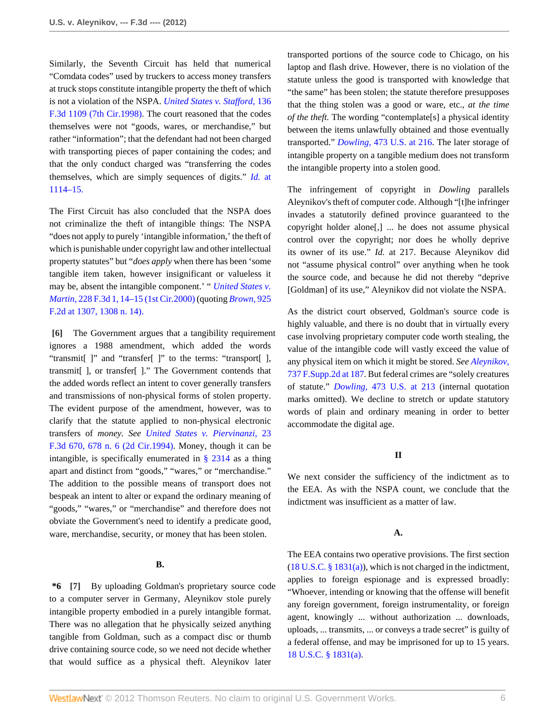Similarly, the Seventh Circuit has held that numerical "Comdata codes" used by truckers to access money transfers at truck stops constitute intangible property the theft of which is not a violation of the NSPA. *[United States v. Stafford,](http://www.westlaw.com/Link/Document/FullText?findType=Y&serNum=1998053524&pubNum=506&originationContext=document&vr=3.0&rs=cblt1.0&transitionType=DocumentItem&contextData=(sc.History*oc.Search))* 136 [F.3d 1109 \(7th Cir.1998\)](http://www.westlaw.com/Link/Document/FullText?findType=Y&serNum=1998053524&pubNum=506&originationContext=document&vr=3.0&rs=cblt1.0&transitionType=DocumentItem&contextData=(sc.History*oc.Search)). The court reasoned that the codes themselves were not "goods, wares, or merchandise," but rather "information"; that the defendant had not been charged with transporting pieces of paper containing the codes; and that the only conduct charged was "transferring the codes themselves, which are simply sequences of digits." *Id.* [at](http://www.westlaw.com/Link/Document/FullText?findType=Y&serNum=1998053524&originationContext=document&vr=3.0&rs=cblt1.0&transitionType=DocumentItem&contextData=(sc.History*oc.Search)) [1114–15.](http://www.westlaw.com/Link/Document/FullText?findType=Y&serNum=1998053524&originationContext=document&vr=3.0&rs=cblt1.0&transitionType=DocumentItem&contextData=(sc.History*oc.Search))

The First Circuit has also concluded that the NSPA does not criminalize the theft of intangible things: The NSPA "does not apply to purely 'intangible information,' the theft of which is punishable under copyright law and other intellectual property statutes" but "*does apply* when there has been 'some tangible item taken, however insignificant or valueless it may be, absent the intangible component.' " *[United States v.](http://www.westlaw.com/Link/Document/FullText?findType=Y&serNum=2000533124&pubNum=506&originationContext=document&vr=3.0&rs=cblt1.0&transitionType=DocumentItem&contextData=(sc.History*oc.Search)#co_pp_sp_506_14) Martin,* [228 F.3d 1, 14–15 \(1st Cir.2000\)](http://www.westlaw.com/Link/Document/FullText?findType=Y&serNum=2000533124&pubNum=506&originationContext=document&vr=3.0&rs=cblt1.0&transitionType=DocumentItem&contextData=(sc.History*oc.Search)#co_pp_sp_506_14) (quoting *[Brown,](http://www.westlaw.com/Link/Document/FullText?findType=Y&serNum=1991041504&pubNum=350&originationContext=document&vr=3.0&rs=cblt1.0&transitionType=DocumentItem&contextData=(sc.History*oc.Search)#co_pp_sp_350_1307)* 925 [F.2d at 1307, 1308 n. 14\).](http://www.westlaw.com/Link/Document/FullText?findType=Y&serNum=1991041504&pubNum=350&originationContext=document&vr=3.0&rs=cblt1.0&transitionType=DocumentItem&contextData=(sc.History*oc.Search)#co_pp_sp_350_1307)

<span id="page-5-0"></span>**[\[6\]](#page-0-5)** The Government argues that a tangibility requirement ignores a 1988 amendment, which added the words "transmit[ ]" and "transfer[ ]" to the terms: "transport[ ], transmit[ ], or transfer[ ]." The Government contends that the added words reflect an intent to cover generally transfers and transmissions of non-physical forms of stolen property. The evident purpose of the amendment, however, was to clarify that the statute applied to non-physical electronic transfers of *money. See [United States v. Piervinanzi,](http://www.westlaw.com/Link/Document/FullText?findType=Y&serNum=1994102816&pubNum=506&originationContext=document&vr=3.0&rs=cblt1.0&transitionType=DocumentItem&contextData=(sc.History*oc.Search)#co_pp_sp_506_678)* 23 [F.3d 670, 678 n. 6 \(2d Cir.1994\).](http://www.westlaw.com/Link/Document/FullText?findType=Y&serNum=1994102816&pubNum=506&originationContext=document&vr=3.0&rs=cblt1.0&transitionType=DocumentItem&contextData=(sc.History*oc.Search)#co_pp_sp_506_678) Money, though it can be intangible, is specifically enumerated in  $\S$  2314 as a thing apart and distinct from "goods," "wares," or "merchandise." The addition to the possible means of transport does not bespeak an intent to alter or expand the ordinary meaning of "goods," "wares," or "merchandise" and therefore does not obviate the Government's need to identify a predicate good, ware, merchandise, security, or money that has been stolen.

# **B.**

<span id="page-5-1"></span>**\*6 [\[7\]](#page-1-1)** By uploading Goldman's proprietary source code to a computer server in Germany, Aleynikov stole purely intangible property embodied in a purely intangible format. There was no allegation that he physically seized anything tangible from Goldman, such as a compact disc or thumb drive containing source code, so we need not decide whether that would suffice as a physical theft. Aleynikov later

transported portions of the source code to Chicago, on his laptop and flash drive. However, there is no violation of the statute unless the good is transported with knowledge that "the same" has been stolen; the statute therefore presupposes that the thing stolen was a good or ware, etc., *at the time of the theft.* The wording "contemplate[s] a physical identity between the items unlawfully obtained and those eventually transported." *Dowling,* [473 U.S. at 216](http://www.westlaw.com/Link/Document/FullText?findType=Y&serNum=1985133041&pubNum=780&originationContext=document&vr=3.0&rs=cblt1.0&transitionType=DocumentItem&contextData=(sc.History*oc.Search)#co_pp_sp_780_216). The later storage of intangible property on a tangible medium does not transform the intangible property into a stolen good.

The infringement of copyright in *Dowling* parallels Aleynikov's theft of computer code. Although "[t]he infringer invades a statutorily defined province guaranteed to the copyright holder alone[,] ... he does not assume physical control over the copyright; nor does he wholly deprive its owner of its use." *Id.* at 217. Because Aleynikov did not "assume physical control" over anything when he took the source code, and because he did not thereby "deprive [Goldman] of its use," Aleynikov did not violate the NSPA.

As the district court observed, Goldman's source code is highly valuable, and there is no doubt that in virtually every case involving proprietary computer code worth stealing, the value of the intangible code will vastly exceed the value of any physical item on which it might be stored. *See [Aleynikov,](http://www.westlaw.com/Link/Document/FullText?findType=Y&serNum=2022943617&pubNum=4637&originationContext=document&vr=3.0&rs=cblt1.0&transitionType=DocumentItem&contextData=(sc.History*oc.Search)#co_pp_sp_4637_187)* [737 F.Supp.2d at 187.](http://www.westlaw.com/Link/Document/FullText?findType=Y&serNum=2022943617&pubNum=4637&originationContext=document&vr=3.0&rs=cblt1.0&transitionType=DocumentItem&contextData=(sc.History*oc.Search)#co_pp_sp_4637_187) But federal crimes are "solely creatures of statute." *Dowling,* [473 U.S. at 213](http://www.westlaw.com/Link/Document/FullText?findType=Y&serNum=1985133041&pubNum=780&originationContext=document&vr=3.0&rs=cblt1.0&transitionType=DocumentItem&contextData=(sc.History*oc.Search)#co_pp_sp_780_213) (internal quotation marks omitted). We decline to stretch or update statutory words of plain and ordinary meaning in order to better accommodate the digital age.

# **II**

We next consider the sufficiency of the indictment as to the EEA. As with the NSPA count, we conclude that the indictment was insufficient as a matter of law.

# **A.**

The EEA contains two operative provisions. The first section (18 U.S.C.  $\S$  1831(a)), which is not charged in the indictment, applies to foreign espionage and is expressed broadly: "Whoever, intending or knowing that the offense will benefit any foreign government, foreign instrumentality, or foreign agent, knowingly ... without authorization ... downloads, uploads, ... transmits, ... or conveys a trade secret" is guilty of a federal offense, and may be imprisoned for up to 15 years. [18 U.S.C. § 1831\(a\).](http://www.westlaw.com/Link/Document/FullText?findType=L&pubNum=1000546&cite=18USCAS1831&originationContext=document&vr=3.0&rs=cblt1.0&transitionType=DocumentItem&contextData=(sc.History*oc.Search)#co_pp_8b3b0000958a4)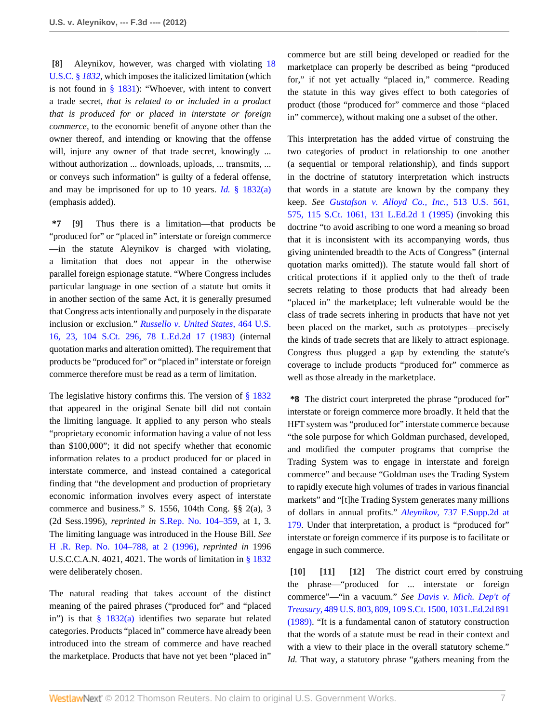<span id="page-6-0"></span>**[\[8\]](#page-1-0)** Aleynikov, however, was charged with violating [18](http://www.westlaw.com/Link/Document/FullText?findType=L&pubNum=1000546&cite=18USCAS1832&originatingDoc=I7506d11283f611e18b1ac573b20fcfb7&refType=LQ&originationContext=document&vr=3.0&rs=cblt1.0&transitionType=DocumentItem&contextData=(sc.History*oc.Search)) [U.S.C. §](http://www.westlaw.com/Link/Document/FullText?findType=L&pubNum=1000546&cite=18USCAS1832&originatingDoc=I7506d11283f611e18b1ac573b20fcfb7&refType=LQ&originationContext=document&vr=3.0&rs=cblt1.0&transitionType=DocumentItem&contextData=(sc.History*oc.Search)) *1832,* which imposes the italicized limitation (which is not found in [§ 1831](http://www.westlaw.com/Link/Document/FullText?findType=L&pubNum=1000546&cite=18USCAS1831&originatingDoc=I7506d11283f611e18b1ac573b20fcfb7&refType=LQ&originationContext=document&vr=3.0&rs=cblt1.0&transitionType=DocumentItem&contextData=(sc.History*oc.Search))): "Whoever, with intent to convert a trade secret, *that is related to or included in a product that is produced for or placed in interstate or foreign commerce,* to the economic benefit of anyone other than the owner thereof, and intending or knowing that the offense will, injure any owner of that trade secret, knowingly ... without authorization ... downloads, uploads, ... transmits, ... or conveys such information" is guilty of a federal offense, and may be imprisoned for up to 10 years. *Id.* [§ 1832\(a\)](http://www.westlaw.com/Link/Document/FullText?findType=L&pubNum=1000546&cite=18USCAS1832&originationContext=document&vr=3.0&rs=cblt1.0&transitionType=DocumentItem&contextData=(sc.History*oc.Search)#co_pp_8b3b0000958a4) (emphasis added).

<span id="page-6-1"></span>**\*7 [\[9\]](#page-1-2)** Thus there is a limitation—that products be "produced for" or "placed in" interstate or foreign commerce —in the statute Aleynikov is charged with violating, a limitation that does not appear in the otherwise parallel foreign espionage statute. "Where Congress includes particular language in one section of a statute but omits it in another section of the same Act, it is generally presumed that Congress acts intentionally and purposely in the disparate inclusion or exclusion." *[Russello v. United States,](http://www.westlaw.com/Link/Document/FullText?findType=Y&serNum=1983149303&pubNum=708&originationContext=document&vr=3.0&rs=cblt1.0&transitionType=DocumentItem&contextData=(sc.History*oc.Search))* 464 U.S. [16, 23, 104 S.Ct. 296, 78 L.Ed.2d 17 \(1983\)](http://www.westlaw.com/Link/Document/FullText?findType=Y&serNum=1983149303&pubNum=708&originationContext=document&vr=3.0&rs=cblt1.0&transitionType=DocumentItem&contextData=(sc.History*oc.Search)) (internal quotation marks and alteration omitted). The requirement that products be "produced for" or "placed in" interstate or foreign commerce therefore must be read as a term of limitation.

The legislative history confirms this. The version of [§ 1832](http://www.westlaw.com/Link/Document/FullText?findType=L&pubNum=1000546&cite=18USCAS1832&originatingDoc=I7506d11283f611e18b1ac573b20fcfb7&refType=LQ&originationContext=document&vr=3.0&rs=cblt1.0&transitionType=DocumentItem&contextData=(sc.History*oc.Search)) that appeared in the original Senate bill did not contain the limiting language. It applied to any person who steals "proprietary economic information having a value of not less than \$100,000"; it did not specify whether that economic information relates to a product produced for or placed in interstate commerce, and instead contained a categorical finding that "the development and production of proprietary economic information involves every aspect of interstate commerce and business." S. 1556, 104th Cong. §§ 2(a), 3 (2d Sess.1996), *reprinted in* [S.Rep. No. 104–359,](http://www.westlaw.com/Link/Document/FullText?findType=Y&serNum=0106680466&pubNum=0001503&originationContext=document&vr=3.0&rs=cblt1.0&transitionType=DocumentItem&contextData=(sc.History*oc.Search)) at 1, 3. The limiting language was introduced in the House Bill. *See* [H .R. Rep. No. 104–788, at 2 \(1996\)](http://www.westlaw.com/Link/Document/FullText?findType=Y&serNum=0106711382&pubNum=0100014&originationContext=document&vr=3.0&rs=cblt1.0&transitionType=DocumentItem&contextData=(sc.History*oc.Search)), *reprinted in* 1996 U.S.C.C.A.N. 4021, 4021. The words of limitation in [§ 1832](http://www.westlaw.com/Link/Document/FullText?findType=L&pubNum=1000546&cite=18USCAS1832&originatingDoc=I7506d11283f611e18b1ac573b20fcfb7&refType=LQ&originationContext=document&vr=3.0&rs=cblt1.0&transitionType=DocumentItem&contextData=(sc.History*oc.Search)) were deliberately chosen.

The natural reading that takes account of the distinct meaning of the paired phrases ("produced for" and "placed in") is that  $\frac{8}{9}$  1832(a) identifies two separate but related categories. Products "placed in" commerce have already been introduced into the stream of commerce and have reached the marketplace. Products that have not yet been "placed in"

commerce but are still being developed or readied for the marketplace can properly be described as being "produced for," if not yet actually "placed in," commerce. Reading the statute in this way gives effect to both categories of product (those "produced for" commerce and those "placed in" commerce), without making one a subset of the other.

This interpretation has the added virtue of construing the two categories of product in relationship to one another (a sequential or temporal relationship), and finds support in the doctrine of statutory interpretation which instructs that words in a statute are known by the company they keep. *See [Gustafson v. Alloyd Co., Inc.,](http://www.westlaw.com/Link/Document/FullText?findType=Y&serNum=1995055306&pubNum=708&originationContext=document&vr=3.0&rs=cblt1.0&transitionType=DocumentItem&contextData=(sc.History*oc.Search))* 513 U.S. 561, [575, 115 S.Ct. 1061, 131 L.Ed.2d 1 \(1995\)](http://www.westlaw.com/Link/Document/FullText?findType=Y&serNum=1995055306&pubNum=708&originationContext=document&vr=3.0&rs=cblt1.0&transitionType=DocumentItem&contextData=(sc.History*oc.Search)) (invoking this doctrine "to avoid ascribing to one word a meaning so broad that it is inconsistent with its accompanying words, thus giving unintended breadth to the Acts of Congress" (internal quotation marks omitted)). The statute would fall short of critical protections if it applied only to the theft of trade secrets relating to those products that had already been "placed in" the marketplace; left vulnerable would be the class of trade secrets inhering in products that have not yet been placed on the market, such as prototypes—precisely the kinds of trade secrets that are likely to attract espionage. Congress thus plugged a gap by extending the statute's coverage to include products "produced for" commerce as well as those already in the marketplace.

**\*8** The district court interpreted the phrase "produced for" interstate or foreign commerce more broadly. It held that the HFT system was "produced for" interstate commerce because "the sole purpose for which Goldman purchased, developed, and modified the computer programs that comprise the Trading System was to engage in interstate and foreign commerce" and because "Goldman uses the Trading System to rapidly execute high volumes of trades in various financial markets" and "[t]he Trading System generates many millions of dollars in annual profits." *Aleynikov,* [737 F.Supp.2d at](http://www.westlaw.com/Link/Document/FullText?findType=Y&serNum=2022943617&pubNum=4637&originationContext=document&vr=3.0&rs=cblt1.0&transitionType=DocumentItem&contextData=(sc.History*oc.Search)#co_pp_sp_4637_179) [179](http://www.westlaw.com/Link/Document/FullText?findType=Y&serNum=2022943617&pubNum=4637&originationContext=document&vr=3.0&rs=cblt1.0&transitionType=DocumentItem&contextData=(sc.History*oc.Search)#co_pp_sp_4637_179). Under that interpretation, a product is "produced for" interstate or foreign commerce if its purpose is to facilitate or engage in such commerce.

<span id="page-6-4"></span><span id="page-6-3"></span><span id="page-6-2"></span>**[\[10\]](#page-1-3) [\[11\]](#page-1-4) [\[12\]](#page-1-5)** The district court erred by construing the phrase—"produced for ... interstate or foreign commerce"—"in a vacuum." *See [Davis v. Mich. Dep't of](http://www.westlaw.com/Link/Document/FullText?findType=Y&serNum=1989045885&pubNum=708&originationContext=document&vr=3.0&rs=cblt1.0&transitionType=DocumentItem&contextData=(sc.History*oc.Search)) Treasury,* [489 U.S. 803, 809, 109 S.Ct. 1500, 103 L.Ed.2d 891](http://www.westlaw.com/Link/Document/FullText?findType=Y&serNum=1989045885&pubNum=708&originationContext=document&vr=3.0&rs=cblt1.0&transitionType=DocumentItem&contextData=(sc.History*oc.Search)) [\(1989\).](http://www.westlaw.com/Link/Document/FullText?findType=Y&serNum=1989045885&pubNum=708&originationContext=document&vr=3.0&rs=cblt1.0&transitionType=DocumentItem&contextData=(sc.History*oc.Search)) "It is a fundamental canon of statutory construction that the words of a statute must be read in their context and with a view to their place in the overall statutory scheme." *Id.* That way, a statutory phrase "gathers meaning from the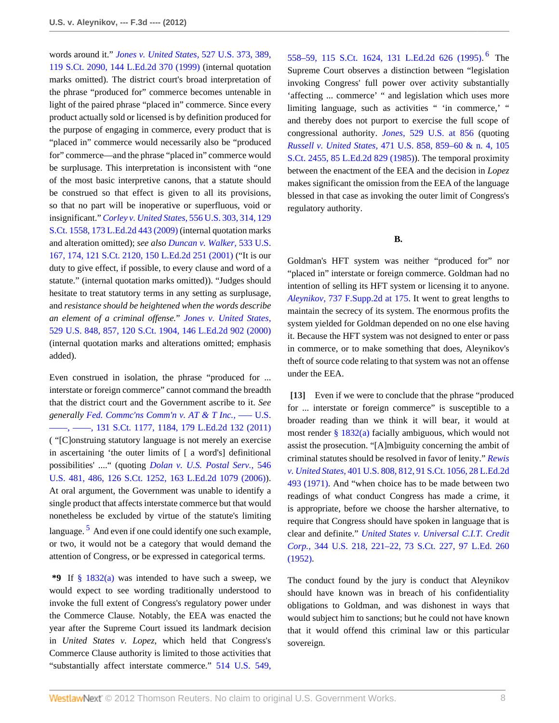words around it." *[Jones v. United States,](http://www.westlaw.com/Link/Document/FullText?findType=Y&serNum=1999145061&pubNum=708&originationContext=document&vr=3.0&rs=cblt1.0&transitionType=DocumentItem&contextData=(sc.History*oc.Search))* 527 U.S. 373, 389, [119 S.Ct. 2090, 144 L.Ed.2d 370 \(1999\)](http://www.westlaw.com/Link/Document/FullText?findType=Y&serNum=1999145061&pubNum=708&originationContext=document&vr=3.0&rs=cblt1.0&transitionType=DocumentItem&contextData=(sc.History*oc.Search)) (internal quotation marks omitted). The district court's broad interpretation of the phrase "produced for" commerce becomes untenable in light of the paired phrase "placed in" commerce. Since every product actually sold or licensed is by definition produced for the purpose of engaging in commerce, every product that is "placed in" commerce would necessarily also be "produced for" commerce—and the phrase "placed in" commerce would be surplusage. This interpretation is inconsistent with "one of the most basic interpretive canons, that a statute should be construed so that effect is given to all its provisions, so that no part will be inoperative or superfluous, void or insignificant." *[Corley v. United States,](http://www.westlaw.com/Link/Document/FullText?findType=Y&serNum=2018540889&pubNum=708&originationContext=document&vr=3.0&rs=cblt1.0&transitionType=DocumentItem&contextData=(sc.History*oc.Search))* 556 U.S. 303, 314, 129 [S.Ct. 1558, 173 L.Ed.2d 443 \(2009\)](http://www.westlaw.com/Link/Document/FullText?findType=Y&serNum=2018540889&pubNum=708&originationContext=document&vr=3.0&rs=cblt1.0&transitionType=DocumentItem&contextData=(sc.History*oc.Search)) (internal quotation marks and alteration omitted); *see also [Duncan v. Walker,](http://www.westlaw.com/Link/Document/FullText?findType=Y&serNum=2001518734&pubNum=708&originationContext=document&vr=3.0&rs=cblt1.0&transitionType=DocumentItem&contextData=(sc.History*oc.Search))* 533 U.S. [167, 174, 121 S.Ct. 2120, 150 L.Ed.2d 251 \(2001\)](http://www.westlaw.com/Link/Document/FullText?findType=Y&serNum=2001518734&pubNum=708&originationContext=document&vr=3.0&rs=cblt1.0&transitionType=DocumentItem&contextData=(sc.History*oc.Search)) ("It is our duty to give effect, if possible, to every clause and word of a statute." (internal quotation marks omitted)). "Judges should hesitate to treat statutory terms in any setting as surplusage, and *resistance should be heightened when the words describe an element of a criminal offense.*" *[Jones v. United States,](http://www.westlaw.com/Link/Document/FullText?findType=Y&serNum=2000358278&pubNum=708&originationContext=document&vr=3.0&rs=cblt1.0&transitionType=DocumentItem&contextData=(sc.History*oc.Search))* [529 U.S. 848, 857, 120 S.Ct. 1904, 146 L.Ed.2d 902 \(2000\)](http://www.westlaw.com/Link/Document/FullText?findType=Y&serNum=2000358278&pubNum=708&originationContext=document&vr=3.0&rs=cblt1.0&transitionType=DocumentItem&contextData=(sc.History*oc.Search)) (internal quotation marks and alterations omitted; emphasis added).

Even construed in isolation, the phrase "produced for ... interstate or foreign commerce" cannot command the breadth that the district court and the Government ascribe to it. *See generally [Fed. Commc'ns Comm'n v. AT & T Inc.,](http://www.westlaw.com/Link/Document/FullText?findType=Y&serNum=2024682429&pubNum=708&originationContext=document&vr=3.0&rs=cblt1.0&transitionType=DocumentItem&contextData=(sc.History*oc.Search)#co_pp_sp_708_1184)* ––– U.S. [––––, ––––, 131 S.Ct. 1177, 1184, 179 L.Ed.2d 132 \(2011\)](http://www.westlaw.com/Link/Document/FullText?findType=Y&serNum=2024682429&pubNum=708&originationContext=document&vr=3.0&rs=cblt1.0&transitionType=DocumentItem&contextData=(sc.History*oc.Search)#co_pp_sp_708_1184) ( "[C]onstruing statutory language is not merely an exercise in ascertaining 'the outer limits of [ a word's] definitional possibilities' ...." (quoting *[Dolan v. U.S. Postal Serv.,](http://www.westlaw.com/Link/Document/FullText?findType=Y&serNum=2008499401&pubNum=708&originationContext=document&vr=3.0&rs=cblt1.0&transitionType=DocumentItem&contextData=(sc.History*oc.Search))* 546 [U.S. 481, 486, 126 S.Ct. 1252, 163 L.Ed.2d 1079 \(2006\)](http://www.westlaw.com/Link/Document/FullText?findType=Y&serNum=2008499401&pubNum=708&originationContext=document&vr=3.0&rs=cblt1.0&transitionType=DocumentItem&contextData=(sc.History*oc.Search))). At oral argument, the Government was unable to identify a single product that affects interstate commerce but that would nonetheless be excluded by virtue of the statute's limiting language.  $5$  And even if one could identify one such example, or two, it would not be a category that would demand the attention of Congress, or be expressed in categorical terms.

<span id="page-7-1"></span>**\*9** If [§ 1832\(a\)](http://www.westlaw.com/Link/Document/FullText?findType=L&pubNum=1000546&cite=18USCAS1832&originationContext=document&vr=3.0&rs=cblt1.0&transitionType=DocumentItem&contextData=(sc.History*oc.Search)#co_pp_8b3b0000958a4) was intended to have such a sweep, we would expect to see wording traditionally understood to invoke the full extent of Congress's regulatory power under the Commerce Clause. Notably, the EEA was enacted the year after the Supreme Court issued its landmark decision in *United States v. Lopez,* which held that Congress's Commerce Clause authority is limited to those activities that "substantially affect interstate commerce." [514 U.S. 549,](http://www.westlaw.com/Link/Document/FullText?findType=Y&serNum=1995096321&pubNum=708&originationContext=document&vr=3.0&rs=cblt1.0&transitionType=DocumentItem&contextData=(sc.History*oc.Search))

<span id="page-7-2"></span>[558–59, 115 S.Ct. 1624, 131 L.Ed.2d 626 \(1995\).](http://www.westlaw.com/Link/Document/FullText?findType=Y&serNum=1995096321&pubNum=708&originationContext=document&vr=3.0&rs=cblt1.0&transitionType=DocumentItem&contextData=(sc.History*oc.Search)) [6](#page-8-5) The Supreme Court observes a distinction between "legislation invoking Congress' full power over activity substantially 'affecting ... commerce' " and legislation which uses more limiting language, such as activities " 'in commerce,' " and thereby does not purport to exercise the full scope of congressional authority. *Jones,* [529 U.S. at 856](http://www.westlaw.com/Link/Document/FullText?findType=Y&serNum=2000358278&pubNum=780&originationContext=document&vr=3.0&rs=cblt1.0&transitionType=DocumentItem&contextData=(sc.History*oc.Search)#co_pp_sp_780_856) (quoting *Russell v. United States,* [471 U.S. 858, 859–60 & n. 4, 105](http://www.westlaw.com/Link/Document/FullText?findType=Y&serNum=1985127862&pubNum=708&originationContext=document&vr=3.0&rs=cblt1.0&transitionType=DocumentItem&contextData=(sc.History*oc.Search)) [S.Ct. 2455, 85 L.Ed.2d 829 \(1985\)](http://www.westlaw.com/Link/Document/FullText?findType=Y&serNum=1985127862&pubNum=708&originationContext=document&vr=3.0&rs=cblt1.0&transitionType=DocumentItem&contextData=(sc.History*oc.Search))). The temporal proximity between the enactment of the EEA and the decision in *Lopez* makes significant the omission from the EEA of the language blessed in that case as invoking the outer limit of Congress's regulatory authority.

## **B.**

Goldman's HFT system was neither "produced for" nor "placed in" interstate or foreign commerce. Goldman had no intention of selling its HFT system or licensing it to anyone. *Aleynikov,* [737 F.Supp.2d at 175](http://www.westlaw.com/Link/Document/FullText?findType=Y&serNum=2022943617&pubNum=4637&originationContext=document&vr=3.0&rs=cblt1.0&transitionType=DocumentItem&contextData=(sc.History*oc.Search)#co_pp_sp_4637_175). It went to great lengths to maintain the secrecy of its system. The enormous profits the system yielded for Goldman depended on no one else having it. Because the HFT system was not designed to enter or pass in commerce, or to make something that does, Aleynikov's theft of source code relating to that system was not an offense under the EEA.

<span id="page-7-0"></span>**[\[13\]](#page-1-6)** Even if we were to conclude that the phrase "produced for ... interstate or foreign commerce" is susceptible to a broader reading than we think it will bear, it would at most render  $\frac{8}{9}$  1832(a) facially ambiguous, which would not assist the prosecution. "[A]mbiguity concerning the ambit of criminal statutes should be resolved in favor of lenity." *[Rewis](http://www.westlaw.com/Link/Document/FullText?findType=Y&serNum=1971127038&pubNum=708&originationContext=document&vr=3.0&rs=cblt1.0&transitionType=DocumentItem&contextData=(sc.History*oc.Search)) v. United States,* [401 U.S. 808, 812, 91 S.Ct. 1056, 28 L.Ed.2d](http://www.westlaw.com/Link/Document/FullText?findType=Y&serNum=1971127038&pubNum=708&originationContext=document&vr=3.0&rs=cblt1.0&transitionType=DocumentItem&contextData=(sc.History*oc.Search)) [493 \(1971\).](http://www.westlaw.com/Link/Document/FullText?findType=Y&serNum=1971127038&pubNum=708&originationContext=document&vr=3.0&rs=cblt1.0&transitionType=DocumentItem&contextData=(sc.History*oc.Search)) And "when choice has to be made between two readings of what conduct Congress has made a crime, it is appropriate, before we choose the harsher alternative, to require that Congress should have spoken in language that is clear and definite." *[United States v. Universal C.I.T. Credit](http://www.westlaw.com/Link/Document/FullText?findType=Y&serNum=1952120571&pubNum=708&originationContext=document&vr=3.0&rs=cblt1.0&transitionType=DocumentItem&contextData=(sc.History*oc.Search)) Corp.,* [344 U.S. 218, 221–22, 73 S.Ct. 227, 97 L.Ed. 260](http://www.westlaw.com/Link/Document/FullText?findType=Y&serNum=1952120571&pubNum=708&originationContext=document&vr=3.0&rs=cblt1.0&transitionType=DocumentItem&contextData=(sc.History*oc.Search)) [\(1952\).](http://www.westlaw.com/Link/Document/FullText?findType=Y&serNum=1952120571&pubNum=708&originationContext=document&vr=3.0&rs=cblt1.0&transitionType=DocumentItem&contextData=(sc.History*oc.Search))

The conduct found by the jury is conduct that Aleynikov should have known was in breach of his confidentiality obligations to Goldman, and was dishonest in ways that would subject him to sanctions; but he could not have known that it would offend this criminal law or this particular sovereign.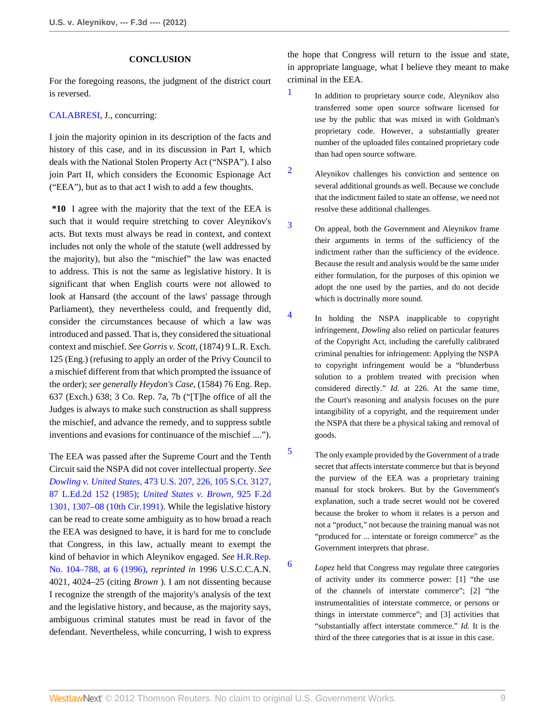# **CONCLUSION**

For the foregoing reasons, the judgment of the district court is reversed.

### [CALABRESI,](http://www.westlaw.com/Link/Document/FullText?findType=h&pubNum=176284&cite=0205251101&originatingDoc=I7506d11283f611e18b1ac573b20fcfb7&refType=RQ&originationContext=document&vr=3.0&rs=cblt1.0&transitionType=DocumentItem&contextData=(sc.History*oc.Search)) J., concurring:

I join the majority opinion in its description of the facts and history of this case, and in its discussion in Part I, which deals with the National Stolen Property Act ("NSPA"). I also join Part II, which considers the Economic Espionage Act ("EEA"), but as to that act I wish to add a few thoughts.

**\*10** I agree with the majority that the text of the EEA is such that it would require stretching to cover Aleynikov's acts. But texts must always be read in context, and context includes not only the whole of the statute (well addressed by the majority), but also the "mischief" the law was enacted to address. This is not the same as legislative history. It is significant that when English courts were not allowed to look at Hansard (the account of the laws' passage through Parliament), they nevertheless could, and frequently did, consider the circumstances because of which a law was introduced and passed. That is, they considered the situational context and mischief. *See Gorris v. Scott,* (1874) 9 L.R. Exch. 125 (Eng.) (refusing to apply an order of the Privy Council to a mischief different from that which prompted the issuance of the order); *see generally Heydon's Case,* (1584) 76 Eng. Rep. 637 (Exch.) 638; 3 Co. Rep. 7a, 7b ("[T]he office of all the Judges is always to make such construction as shall suppress the mischief, and advance the remedy, and to suppress subtle inventions and evasions for continuance of the mischief ....").

The EEA was passed after the Supreme Court and the Tenth Circuit said the NSPA did not cover intellectual property. *See Dowling v. United States,* [473 U.S. 207, 226, 105 S.Ct. 3127,](http://www.westlaw.com/Link/Document/FullText?findType=Y&serNum=1985133041&pubNum=708&originationContext=document&vr=3.0&rs=cblt1.0&transitionType=DocumentItem&contextData=(sc.History*oc.Search)) [87 L.Ed.2d 152 \(1985\);](http://www.westlaw.com/Link/Document/FullText?findType=Y&serNum=1985133041&pubNum=708&originationContext=document&vr=3.0&rs=cblt1.0&transitionType=DocumentItem&contextData=(sc.History*oc.Search)) *[United States v. Brown,](http://www.westlaw.com/Link/Document/FullText?findType=Y&serNum=1991041504&pubNum=350&originationContext=document&vr=3.0&rs=cblt1.0&transitionType=DocumentItem&contextData=(sc.History*oc.Search)#co_pp_sp_350_1307)* 925 F.2d [1301, 1307–08 \(10th Cir.1991\).](http://www.westlaw.com/Link/Document/FullText?findType=Y&serNum=1991041504&pubNum=350&originationContext=document&vr=3.0&rs=cblt1.0&transitionType=DocumentItem&contextData=(sc.History*oc.Search)#co_pp_sp_350_1307) While the legislative history can be read to create some ambiguity as to how broad a reach the EEA was designed to have, it is hard for me to conclude that Congress, in this law, actually meant to exempt the kind of behavior in which Aleynikov engaged. *See* [H.R.Rep.](http://www.westlaw.com/Link/Document/FullText?findType=Y&serNum=0106711382&pubNum=0100014&originationContext=document&vr=3.0&rs=cblt1.0&transitionType=DocumentItem&contextData=(sc.History*oc.Search)) [No. 104–788, at 6 \(1996\),](http://www.westlaw.com/Link/Document/FullText?findType=Y&serNum=0106711382&pubNum=0100014&originationContext=document&vr=3.0&rs=cblt1.0&transitionType=DocumentItem&contextData=(sc.History*oc.Search)) *reprinted in* 1996 U.S.C.C.A.N. 4021, 4024–25 (citing *Brown* ). I am not dissenting because I recognize the strength of the majority's analysis of the text and the legislative history, and because, as the majority says, ambiguous criminal statutes must be read in favor of the defendant. Nevertheless, while concurring, I wish to express the hope that Congress will return to the issue and state, in appropriate language, what I believe they meant to make criminal in the EEA.

- <span id="page-8-0"></span>[1](#page-2-0) In addition to proprietary source code, Aleynikov also transferred some open source software licensed for use by the public that was mixed in with Goldman's proprietary code. However, a substantially greater number of the uploaded files contained proprietary code than had open source software.
- <span id="page-8-1"></span>[2](#page-3-4) Aleynikov challenges his conviction and sentence on several additional grounds as well. Because we conclude that the indictment failed to state an offense, we need not resolve these additional challenges.
- <span id="page-8-2"></span>[3](#page-3-5) On appeal, both the Government and Aleynikov frame their arguments in terms of the sufficiency of the indictment rather than the sufficiency of the evidence. Because the result and analysis would be the same under either formulation, for the purposes of this opinion we adopt the one used by the parties, and do not decide which is doctrinally more sound.

<span id="page-8-3"></span>[4](#page-4-1)

<span id="page-8-5"></span>[6](#page-7-2)

- In holding the NSPA inapplicable to copyright infringement, *Dowling* also relied on particular features of the Copyright Act, including the carefully calibrated criminal penalties for infringement: Applying the NSPA to copyright infringement would be a "blunderbuss solution to a problem treated with precision when considered directly." *Id.* at 226. At the same time, the Court's reasoning and analysis focuses on the pure intangibility of a copyright, and the requirement under the NSPA that there be a physical taking and removal of goods.
- <span id="page-8-4"></span>[5](#page-7-1) The only example provided by the Government of a trade secret that affects interstate commerce but that is beyond the purview of the EEA was a proprietary training manual for stock brokers. But by the Government's explanation, such a trade secret would not be covered because the broker to whom it relates is a person and not a "product," not because the training manual was not "produced for ... interstate or foreign commerce" as the Government interprets that phrase.
	- *Lopez* held that Congress may regulate three categories of activity under its commerce power: [1] "the use of the channels of interstate commerce"; [2] "the instrumentalities of interstate commerce, or persons or things in interstate commerce"; and [3] activities that "substantially affect interstate commerce." *Id.* It is the third of the three categories that is at issue in this case.